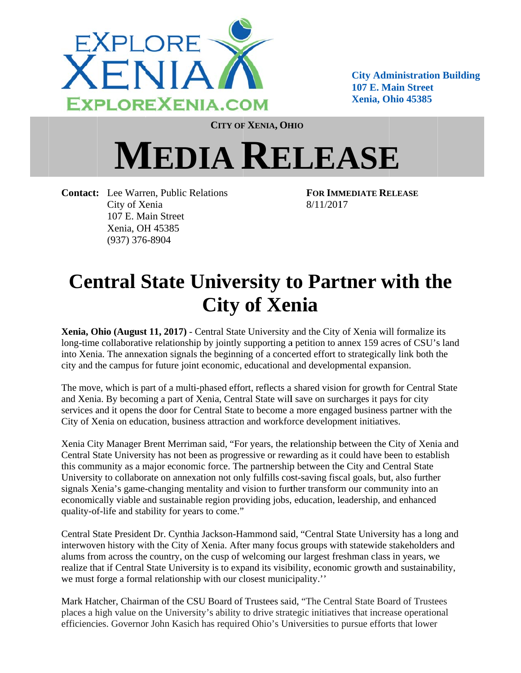

**City Administration Building** 107 E. Main Street **Xenia, Ohio 45385** 

CITY OF XENIA, OHIO

## **MEDIA RELEASE**

**Contact:** Lee Warren, Public Relations City of Xenia 107 E. Main Street Xenia, OH 45385  $(937)$  376-8904

**FOR IMMEDIATE RELEASE** 8/11/2017

## **Central State University to Partner with the City of Xenia**

Xenia, Ohio (August 11, 2017) - Central State University and the City of Xenia will formalize its long-time collaborative relationship by jointly supporting a petition to annex 159 acres of CSU's land into Xenia. The annexation signals the beginning of a concerted effort to strategically link both the city and the campus for future joint economic, educational and developmental expansion.

The move, which is part of a multi-phased effort, reflects a shared vision for growth for Central State and Xenia. By becoming a part of Xenia, Central State will save on surcharges it pays for city services and it opens the door for Central State to become a more engaged business partner with the City of Xenia on education, business attraction and workforce development initiatives.

Xenia City Manager Brent Merriman said, "For years, the relationship between the City of Xenia and Central State University has not been as progressive or rewarding as it could have been to establish this community as a major economic force. The partnership between the City and Central State University to collaborate on annexation not only fulfills cost-saving fiscal goals, but, also further signals Xenia's game-changing mentality and vision to further transform our community into an economically viable and sustainable region providing jobs, education, leadership, and enhanced quality-of-life and stability for years to come."

Central State President Dr. Cynthia Jackson-Hammond said, "Central State University has a long and interwoven history with the City of Xenia. After many focus groups with statewide stakeholders and alums from across the country, on the cusp of welcoming our largest freshman class in years, we realize that if Central State University is to expand its visibility, economic growth and sustainability, we must forge a formal relationship with our closest municipality."

Mark Hatcher, Chairman of the CSU Board of Trustees said, "The Central State Board of Trustees places a high value on the University's ability to drive strategic initiatives that increase operational efficiencies. Governor John Kasich has required Ohio's Universities to pursue efforts that lower